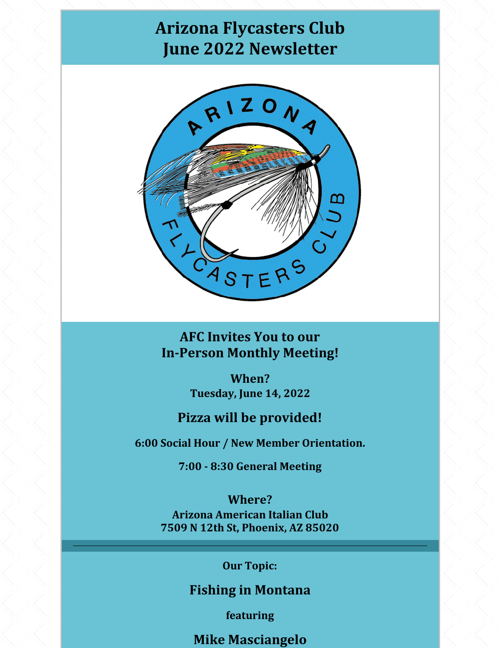# **Arizona Flycasters Club June 2022 Newsletter**



**AFC Invites You to our In-Person Monthly Meeting!**

> **When? Tuesday, June 14, 2022**

### **Pizza will be provided!**

**6:00 Social Hour / New Member Orientation.**

**7:00 - 8:30 General Meeting**

**Where? Arizona American Italian Club 7509 N 12th St, Phoenix, AZ 85020**

### **Our Topic:**

**Fishing in Montana**

**featuring**

**Mike Masciangelo**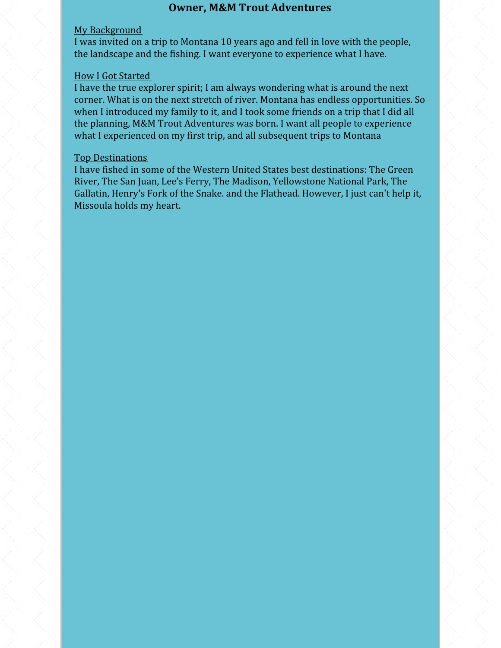#### **Owner, M&M Trout Adventures**

#### My Background

I was invited on a trip to Montana 10 years ago and fell in love with the people, the landscape and the fishing. I want everyone to experience what I have.

#### How I Got Started

I have the true explorer spirit; I am always wondering what is around the next corner. What is on the next stretch of river. Montana has endless opportunities. So when I introduced my family to it, and I took some friends on a trip that I did all the planning, M&M Trout Adventures was born. I want all people to experience what I experienced on my first trip, and all subsequent trips to Montana

#### Top Destinations

I have fished in some of the Western United States best destinations: The Green River, The San Juan, Lee's Ferry, The Madison, Yellowstone National Park, The Gallatin, Henry's Fork of the Snake. and the Flathead. However, I just can't help it, Missoula holds my heart.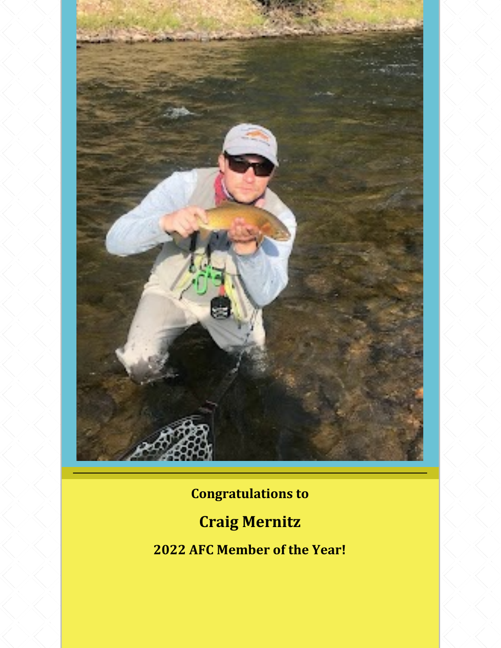

**Congratulations to**

# **Craig Mernitz**

**2022 AFC Member of the Year!**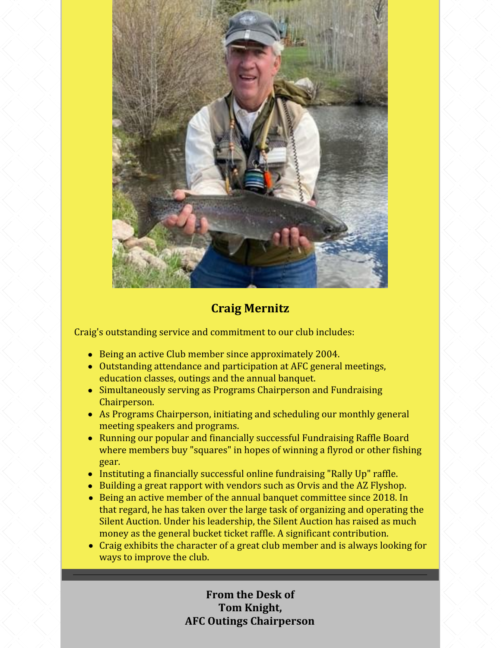

### **Craig Mernitz**

Craig's outstanding service and commitment to our club includes:

- Being an active Club member since approximately 2004.
- Outstanding attendance and participation at AFC general meetings, education classes, outings and the annual banquet.
- Simultaneously serving as Programs Chairperson and Fundraising Chairperson.
- As Programs Chairperson, initiating and scheduling our monthly general meeting speakers and programs.
- Running our popular and financially successful Fundraising Raffle Board where members buy "squares" in hopes of winning a flyrod or other fishing gear.
- Instituting a financially successful online fundraising "Rally Up" raffle.
- Building a great rapport with vendors such as Orvis and the AZ Flyshop.
- Being an active member of the annual banquet committee since 2018. In that regard, he has taken over the large task of organizing and operating the Silent Auction. Under his leadership, the Silent Auction has raised as much money as the general bucket ticket raffle. A significant contribution.
- Craig exhibits the character of a great club member and is always looking for ways to improve the club.

**From the Desk of Tom Knight, AFC Outings Chairperson**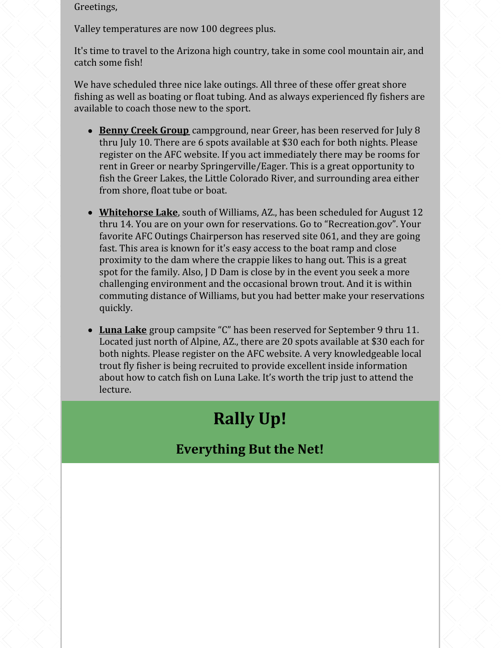Greetings,

Valley temperatures are now 100 degrees plus.

It's time to travel to the Arizona high country, take in some cool mountain air, and catch some fish!

We have scheduled three nice lake outings. All three of these offer great shore fishing as well as boating or float tubing. And as always experienced fly fishers are available to coach those new to the sport.

- **Benny Creek Group** campground, near Greer, has been reserved for July 8 thru July 10. There are 6 spots available at \$30 each for both nights. Please register on the AFC website. If you act immediately there may be rooms for rent in Greer or nearby Springerville/Eager. This is a great opportunity to fish the Greer Lakes, the Little Colorado River, and surrounding area either from shore, float tube or boat.
- **Whitehorse Lake**, south of Williams, AZ., has been scheduled for August 12 thru 14. You are on your own for reservations. Go to "Recreation.gov". Your favorite AFC Outings Chairperson has reserved site 061, and they are going fast. This area is known for it's easy access to the boat ramp and close proximity to the dam where the crappie likes to hang out. This is a great spot for the family. Also, J D Dam is close by in the event you seek a more challenging environment and the occasional brown trout. And it is within commuting distance of Williams, but you had better make your reservations quickly.
- **Luna Lake** group campsite "C" has been reserved for September 9 thru 11. Located just north of Alpine, AZ., there are 20 spots available at \$30 each for both nights. Please register on the AFC website. A very knowledgeable local trout fly fisher is being recruited to provide excellent inside information about how to catch fish on Luna Lake. It's worth the trip just to attend the lecture.

# **Rally Up!**

## **Everything But the Net!**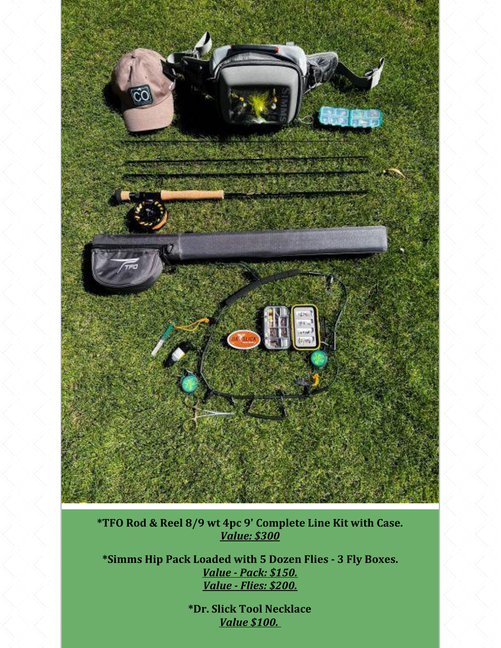

**\*TFO Rod & Reel 8/9 wt 4pc 9' Complete Line Kit with Case.** *Value: \$300*

**\*Simms Hip Pack Loaded with 5 Dozen Flies - 3 Fly Boxes.** *Value - Pack: \$150. Value - Flies: \$200.*

> **\*Dr. Slick Tool Necklace** *Value \$100.*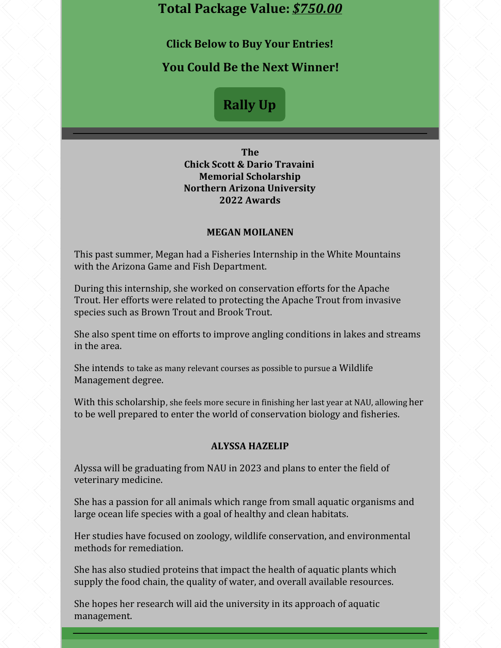### **Total Package Value:** *\$750.00*

**Click Below to Buy Your Entries!**

**You Could Be the Next Winner!**

## **[Rally](https://go.rallyup.com/everything-but-net/Campaign/Details) Up**

**The Chick Scott & Dario Travaini Memorial Scholarship Northern Arizona University 2022 Awards**

#### **MEGAN MOILANEN**

This past summer, Megan had a Fisheries Internship in the White Mountains with the Arizona Game and Fish Department.

During this internship, she worked on conservation efforts for the Apache Trout. Her efforts were related to protecting the Apache Trout from invasive species such as Brown Trout and Brook Trout.

She also spent time on efforts to improve angling conditions in lakes and streams in the area.

She intends to take as many relevant courses as possible to pursue a Wildlife Management degree.

With this scholarship, she feels more secure in finishing her last year at NAU, allowing her to be well prepared to enter the world of conservation biology and fisheries.

#### **ALYSSA HAZELIP**

Alyssa will be graduating from NAU in 2023 and plans to enter the field of veterinary medicine.

She has a passion for all animals which range from small aquatic organisms and large ocean life species with a goal of healthy and clean habitats.

Her studies have focused on zoology, wildlife conservation, and environmental methods for remediation.

She has also studied proteins that impact the health of aquatic plants which supply the food chain, the quality of water, and overall available resources.

She hopes her research will aid the university in its approach of aquatic management.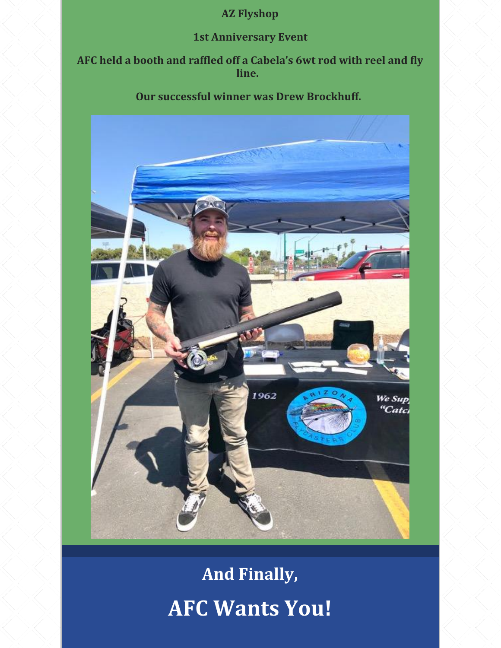## **AZ Flyshop**

### **1st Anniversary Event**

**AFC held a booth and raffled off a Cabela's 6wt rod with reel and fly line.**

### **Our successful winner was Drew Brockhuff.**



**And Finally, AFC Wants You!**